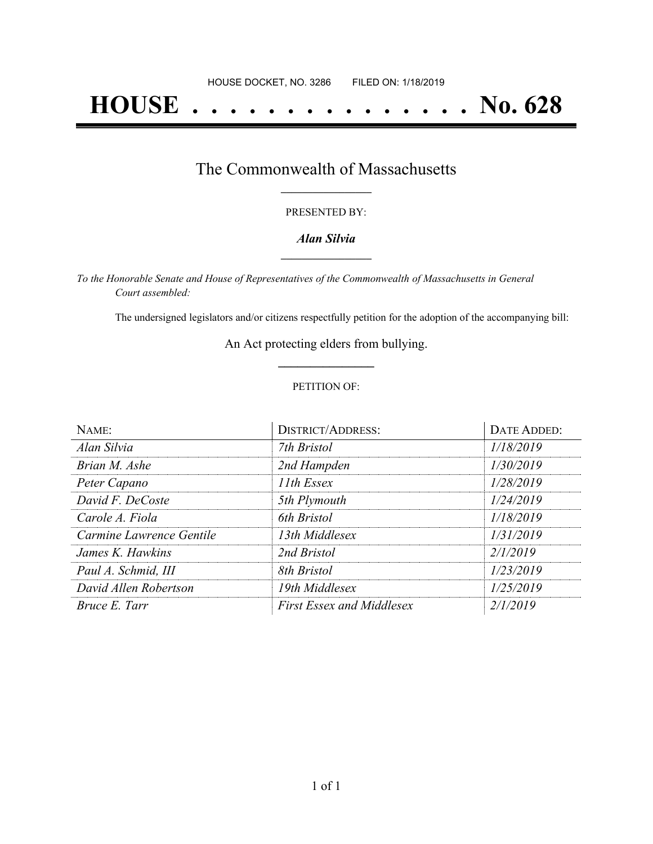# **HOUSE . . . . . . . . . . . . . . . No. 628**

## The Commonwealth of Massachusetts **\_\_\_\_\_\_\_\_\_\_\_\_\_\_\_\_\_**

#### PRESENTED BY:

#### *Alan Silvia* **\_\_\_\_\_\_\_\_\_\_\_\_\_\_\_\_\_**

*To the Honorable Senate and House of Representatives of the Commonwealth of Massachusetts in General Court assembled:*

The undersigned legislators and/or citizens respectfully petition for the adoption of the accompanying bill:

An Act protecting elders from bullying. **\_\_\_\_\_\_\_\_\_\_\_\_\_\_\_**

#### PETITION OF:

| NAME:                    | <b>DISTRICT/ADDRESS:</b>         | DATE ADDED: |
|--------------------------|----------------------------------|-------------|
| Alan Silvia              | 7th Bristol                      | 1/18/2019   |
| Brian M. Ashe            | 2nd Hampden                      | 1/30/2019   |
| Peter Capano             | 11th Essex                       | 1/28/2019   |
| David F. DeCoste         | 5th Plymouth                     | 1/24/2019   |
| Carole A. Fiola          | 6th Bristol                      | 1/18/2019   |
| Carmine Lawrence Gentile | 13th Middlesex                   | 1/31/2019   |
| James K. Hawkins         | 2nd Bristol                      | 2/1/2019    |
| Paul A. Schmid, III      | 8th Bristol                      | 1/23/2019   |
| David Allen Robertson    | 19th Middlesex                   | 1/25/2019   |
| Bruce E. Tarr            | <b>First Essex and Middlesex</b> | 2/1/2019    |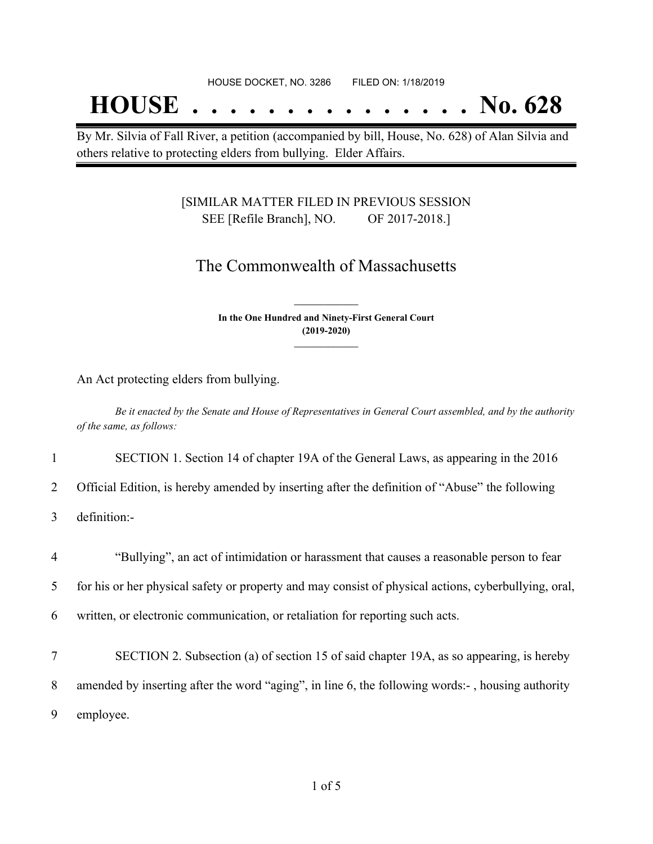## **HOUSE . . . . . . . . . . . . . . . No. 628**

By Mr. Silvia of Fall River, a petition (accompanied by bill, House, No. 628) of Alan Silvia and others relative to protecting elders from bullying. Elder Affairs.

#### [SIMILAR MATTER FILED IN PREVIOUS SESSION SEE [Refile Branch], NO. OF 2017-2018.]

### The Commonwealth of Massachusetts

**In the One Hundred and Ninety-First General Court (2019-2020) \_\_\_\_\_\_\_\_\_\_\_\_\_\_\_**

**\_\_\_\_\_\_\_\_\_\_\_\_\_\_\_**

An Act protecting elders from bullying.

Be it enacted by the Senate and House of Representatives in General Court assembled, and by the authority *of the same, as follows:*

1 SECTION 1. Section 14 of chapter 19A of the General Laws, as appearing in the 2016

2 Official Edition, is hereby amended by inserting after the definition of "Abuse" the following

3 definition:-

4 "Bullying", an act of intimidation or harassment that causes a reasonable person to fear

5 for his or her physical safety or property and may consist of physical actions, cyberbullying, oral,

6 written, or electronic communication, or retaliation for reporting such acts.

7 SECTION 2. Subsection (a) of section 15 of said chapter 19A, as so appearing, is hereby 8 amended by inserting after the word "aging", in line 6, the following words:- , housing authority 9 employee.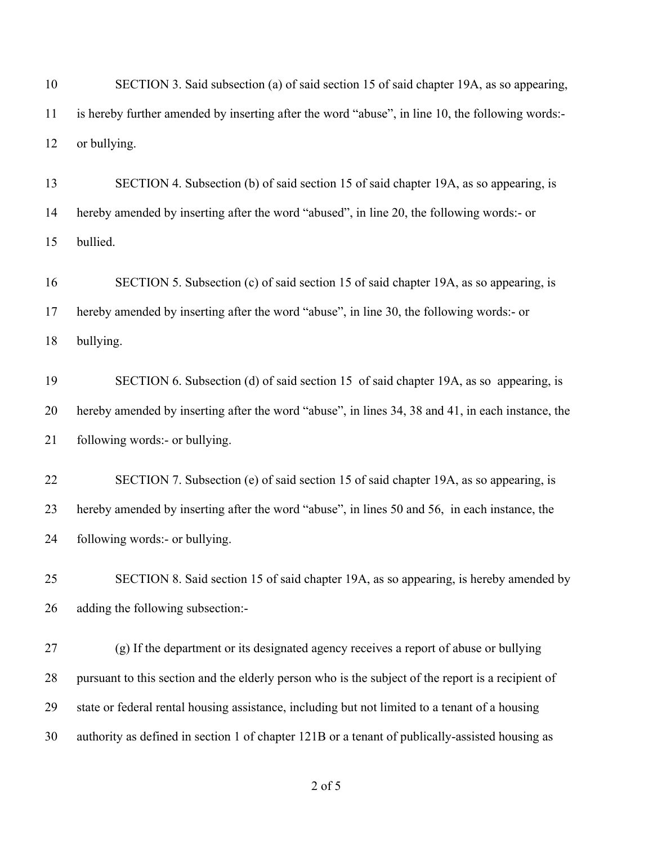| 10 | SECTION 3. Said subsection (a) of said section 15 of said chapter 19A, as so appearing,            |
|----|----------------------------------------------------------------------------------------------------|
| 11 | is hereby further amended by inserting after the word "abuse", in line 10, the following words:-   |
| 12 | or bullying.                                                                                       |
| 13 | SECTION 4. Subsection (b) of said section 15 of said chapter 19A, as so appearing, is              |
| 14 | hereby amended by inserting after the word "abused", in line 20, the following words:- or          |
| 15 | bullied.                                                                                           |
| 16 | SECTION 5. Subsection (c) of said section 15 of said chapter 19A, as so appearing, is              |
| 17 | hereby amended by inserting after the word "abuse", in line 30, the following words:- or           |
| 18 | bullying.                                                                                          |
| 19 | SECTION 6. Subsection (d) of said section 15 of said chapter 19A, as so appearing, is              |
| 20 | hereby amended by inserting after the word "abuse", in lines 34, 38 and 41, in each instance, the  |
| 21 | following words:- or bullying.                                                                     |
| 22 | SECTION 7. Subsection (e) of said section 15 of said chapter 19A, as so appearing, is              |
| 23 | hereby amended by inserting after the word "abuse", in lines 50 and 56, in each instance, the      |
| 24 | following words:- or bullying.                                                                     |
| 25 | SECTION 8. Said section 15 of said chapter 19A, as so appearing, is hereby amended by              |
| 26 | adding the following subsection:-                                                                  |
| 27 | (g) If the department or its designated agency receives a report of abuse or bullying              |
| 28 | pursuant to this section and the elderly person who is the subject of the report is a recipient of |
| 29 | state or federal rental housing assistance, including but not limited to a tenant of a housing     |
| 30 | authority as defined in section 1 of chapter 121B or a tenant of publically-assisted housing as    |
|    |                                                                                                    |

of 5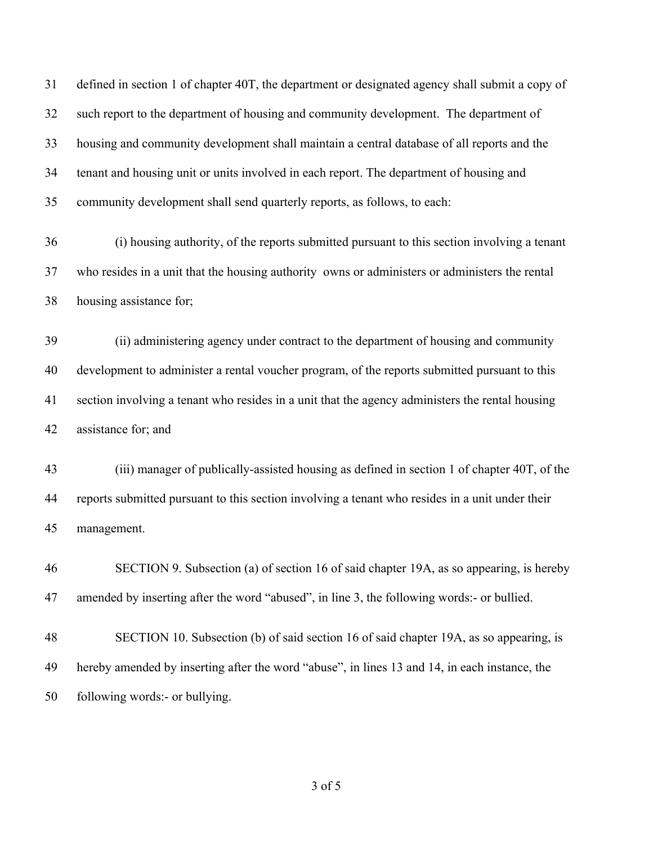defined in section 1 of chapter 40T, the department or designated agency shall submit a copy of such report to the department of housing and community development. The department of housing and community development shall maintain a central database of all reports and the tenant and housing unit or units involved in each report. The department of housing and community development shall send quarterly reports, as follows, to each:

 (i) housing authority, of the reports submitted pursuant to this section involving a tenant who resides in a unit that the housing authority owns or administers or administers the rental housing assistance for;

 (ii) administering agency under contract to the department of housing and community development to administer a rental voucher program, of the reports submitted pursuant to this section involving a tenant who resides in a unit that the agency administers the rental housing assistance for; and

 (iii) manager of publically-assisted housing as defined in section 1 of chapter 40T, of the reports submitted pursuant to this section involving a tenant who resides in a unit under their management.

 SECTION 9. Subsection (a) of section 16 of said chapter 19A, as so appearing, is hereby amended by inserting after the word "abused", in line 3, the following words:- or bullied.

 SECTION 10. Subsection (b) of said section 16 of said chapter 19A, as so appearing, is hereby amended by inserting after the word "abuse", in lines 13 and 14, in each instance, the following words:- or bullying.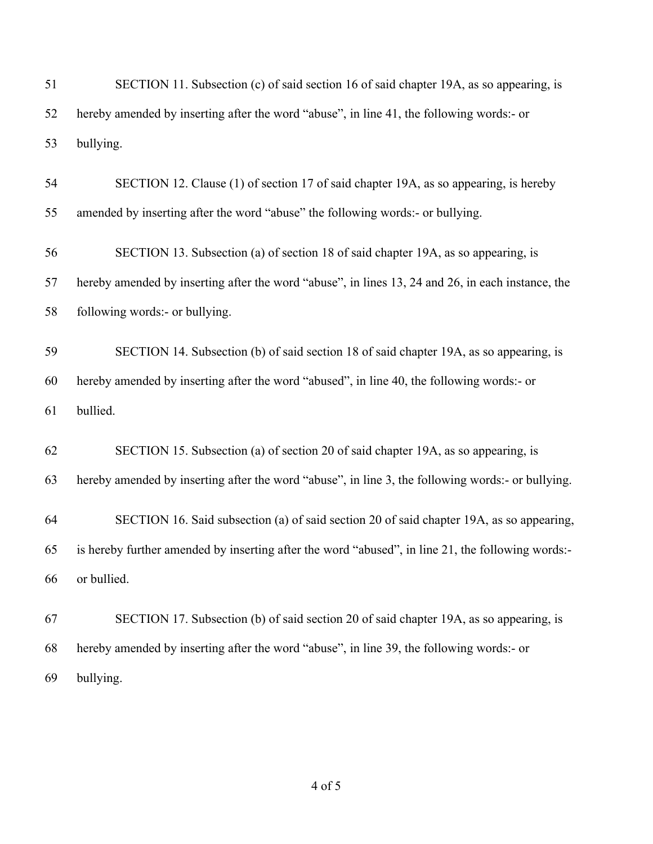| 51 | SECTION 11. Subsection (c) of said section 16 of said chapter 19A, as so appearing, is            |
|----|---------------------------------------------------------------------------------------------------|
| 52 | hereby amended by inserting after the word "abuse", in line 41, the following words:- or          |
| 53 | bullying.                                                                                         |
| 54 | SECTION 12. Clause (1) of section 17 of said chapter 19A, as so appearing, is hereby              |
| 55 | amended by inserting after the word "abuse" the following words:- or bullying.                    |
| 56 | SECTION 13. Subsection (a) of section 18 of said chapter 19A, as so appearing, is                 |
| 57 | hereby amended by inserting after the word "abuse", in lines 13, 24 and 26, in each instance, the |
| 58 | following words:- or bullying.                                                                    |
| 59 | SECTION 14. Subsection (b) of said section 18 of said chapter 19A, as so appearing, is            |
| 60 | hereby amended by inserting after the word "abused", in line 40, the following words:- or         |
| 61 | bullied.                                                                                          |
| 62 | SECTION 15. Subsection (a) of section 20 of said chapter 19A, as so appearing, is                 |
| 63 | hereby amended by inserting after the word "abuse", in line 3, the following words:- or bullying. |
| 64 | SECTION 16. Said subsection (a) of said section 20 of said chapter 19A, as so appearing,          |
| 65 | is hereby further amended by inserting after the word "abused", in line 21, the following words:- |
| 66 | or bullied.                                                                                       |
| 67 | SECTION 17. Subsection (b) of said section 20 of said chapter 19A, as so appearing, is            |
| 68 | hereby amended by inserting after the word "abuse", in line 39, the following words:- or          |
| 69 | bullying.                                                                                         |

of 5